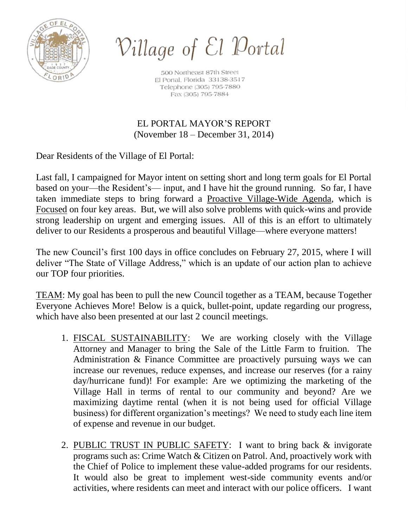

Village of El Portal

500 Northeast 87th Street El Portal, Florida 33138-3517 Telephone (305) 795-7880 Fax (305) 795-7884

EL PORTAL MAYOR'S REPORT (November 18 – December 31, 2014)

Dear Residents of the Village of El Portal:

Last fall, I campaigned for Mayor intent on setting short and long term goals for El Portal based on your—the Resident's— input, and I have hit the ground running. So far, I have taken immediate steps to bring forward a Proactive Village-Wide Agenda, which is Focused on four key areas. But, we will also solve problems with quick-wins and provide strong leadership on urgent and emerging issues. All of this is an effort to ultimately deliver to our Residents a prosperous and beautiful Village—where everyone matters!

The new Council's first 100 days in office concludes on February 27, 2015, where I will deliver "The State of Village Address," which is an update of our action plan to achieve our TOP four priorities.

TEAM: My goal has been to pull the new Council together as a TEAM, because Together Everyone Achieves More! Below is a quick, bullet-point, update regarding our progress, which have also been presented at our last 2 council meetings.

- 1. FISCAL SUSTAINABILITY: We are working closely with the Village Attorney and Manager to bring the Sale of the Little Farm to fruition. The Administration & Finance Committee are proactively pursuing ways we can increase our revenues, reduce expenses, and increase our reserves (for a rainy day/hurricane fund)! For example: Are we optimizing the marketing of the Village Hall in terms of rental to our community and beyond? Are we maximizing daytime rental (when it is not being used for official Village business) for different organization's meetings? We need to study each line item of expense and revenue in our budget.
- 2. PUBLIC TRUST IN PUBLIC SAFETY: I want to bring back & invigorate programs such as: Crime Watch & Citizen on Patrol. And, proactively work with the Chief of Police to implement these value-added programs for our residents. It would also be great to implement west-side community events and/or activities, where residents can meet and interact with our police officers. I want